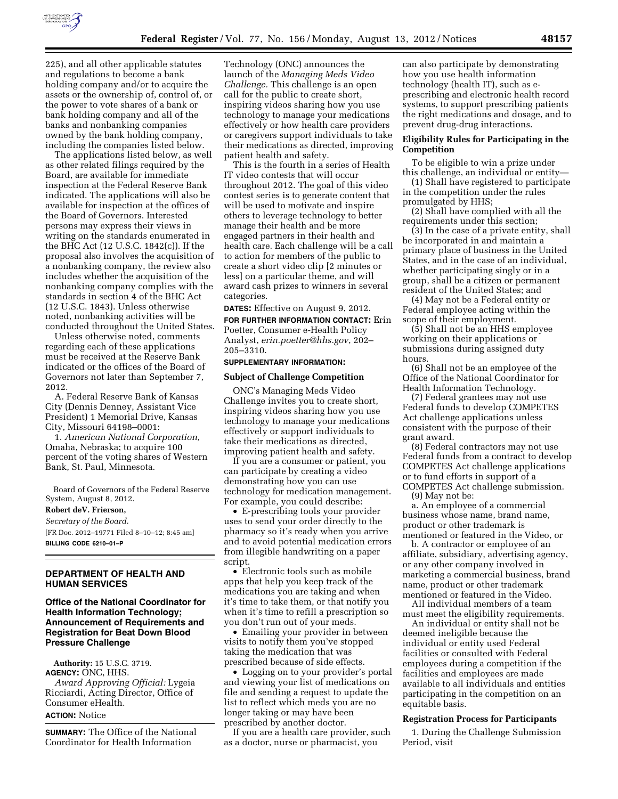

225), and all other applicable statutes and regulations to become a bank holding company and/or to acquire the assets or the ownership of, control of, or the power to vote shares of a bank or bank holding company and all of the banks and nonbanking companies owned by the bank holding company, including the companies listed below.

The applications listed below, as well as other related filings required by the Board, are available for immediate inspection at the Federal Reserve Bank indicated. The applications will also be available for inspection at the offices of the Board of Governors. Interested persons may express their views in writing on the standards enumerated in the BHC Act (12 U.S.C. 1842(c)). If the proposal also involves the acquisition of a nonbanking company, the review also includes whether the acquisition of the nonbanking company complies with the standards in section 4 of the BHC Act (12 U.S.C. 1843). Unless otherwise noted, nonbanking activities will be conducted throughout the United States.

Unless otherwise noted, comments regarding each of these applications must be received at the Reserve Bank indicated or the offices of the Board of Governors not later than September 7, 2012.

A. Federal Reserve Bank of Kansas City (Dennis Denney, Assistant Vice President) 1 Memorial Drive, Kansas City, Missouri 64198–0001:

1. *American National Corporation,*  Omaha, Nebraska; to acquire 100 percent of the voting shares of Western Bank, St. Paul, Minnesota.

Board of Governors of the Federal Reserve System, August 8, 2012.

# **Robert deV. Frierson,**

*Secretary of the Board.* 

[FR Doc. 2012–19771 Filed 8–10–12; 8:45 am] **BILLING CODE 6210–01–P** 

## **DEPARTMENT OF HEALTH AND HUMAN SERVICES**

**Office of the National Coordinator for Health Information Technology; Announcement of Requirements and Registration for Beat Down Blood Pressure Challenge** 

**Authority:** 15 U.S.C. 3719. **AGENCY:** ONC, HHS. *Award Approving Official:* Lygeia Ricciardi, Acting Director, Office of Consumer eHealth.

# **ACTION:** Notice

**SUMMARY:** The Office of the National Coordinator for Health Information

Technology (ONC) announces the launch of the *Managing Meds Video Challenge.* This challenge is an open call for the public to create short, inspiring videos sharing how you use technology to manage your medications effectively or how health care providers or caregivers support individuals to take their medications as directed, improving patient health and safety.

This is the fourth in a series of Health IT video contests that will occur throughout 2012. The goal of this video contest series is to generate content that will be used to motivate and inspire others to leverage technology to better manage their health and be more engaged partners in their health and health care. Each challenge will be a call to action for members of the public to create a short video clip [2 minutes or less] on a particular theme, and will award cash prizes to winners in several categories.

**DATES:** Effective on August 9, 2012.

**FOR FURTHER INFORMATION CONTACT:** Erin Poetter, Consumer e-Health Policy Analyst, *[erin.poetter@hhs.gov](mailto:erin.poetter@hhs.gov)*, 202– 205–3310.

# **SUPPLEMENTARY INFORMATION:**

#### **Subject of Challenge Competition**

ONC's Managing Meds Video Challenge invites you to create short, inspiring videos sharing how you use technology to manage your medications effectively or support individuals to take their medications as directed, improving patient health and safety.

If you are a consumer or patient, you can participate by creating a video demonstrating how you can use technology for medication management. For example, you could describe:

• E-prescribing tools your provider uses to send your order directly to the pharmacy so it's ready when you arrive and to avoid potential medication errors from illegible handwriting on a paper script.

• Electronic tools such as mobile apps that help you keep track of the medications you are taking and when it's time to take them, or that notify you when it's time to refill a prescription so you don't run out of your meds.

• Emailing your provider in between visits to notify them you've stopped taking the medication that was prescribed because of side effects.

• Logging on to your provider's portal and viewing your list of medications on file and sending a request to update the list to reflect which meds you are no longer taking or may have been prescribed by another doctor.

If you are a health care provider, such as a doctor, nurse or pharmacist, you

can also participate by demonstrating how you use health information technology (health IT), such as eprescribing and electronic health record systems, to support prescribing patients the right medications and dosage, and to prevent drug-drug interactions.

# **Eligibility Rules for Participating in the Competition**

To be eligible to win a prize under this challenge, an individual or entity—

(1) Shall have registered to participate in the competition under the rules promulgated by HHS;

(2) Shall have complied with all the requirements under this section;

(3) In the case of a private entity, shall be incorporated in and maintain a primary place of business in the United States, and in the case of an individual, whether participating singly or in a group, shall be a citizen or permanent resident of the United States; and

(4) May not be a Federal entity or Federal employee acting within the scope of their employment.

(5) Shall not be an HHS employee working on their applications or submissions during assigned duty hours.

(6) Shall not be an employee of the Office of the National Coordinator for Health Information Technology.

(7) Federal grantees may not use Federal funds to develop COMPETES Act challenge applications unless consistent with the purpose of their grant award.

(8) Federal contractors may not use Federal funds from a contract to develop COMPETES Act challenge applications or to fund efforts in support of a COMPETES Act challenge submission.

(9) May not be:

a. An employee of a commercial business whose name, brand name, product or other trademark is mentioned or featured in the Video, or

b. A contractor or employee of an affiliate, subsidiary, advertising agency, or any other company involved in marketing a commercial business, brand name, product or other trademark mentioned or featured in the Video.

All individual members of a team must meet the eligibility requirements.

An individual or entity shall not be deemed ineligible because the individual or entity used Federal facilities or consulted with Federal employees during a competition if the facilities and employees are made available to all individuals and entities participating in the competition on an equitable basis.

#### **Registration Process for Participants**

1. During the Challenge Submission Period, visit